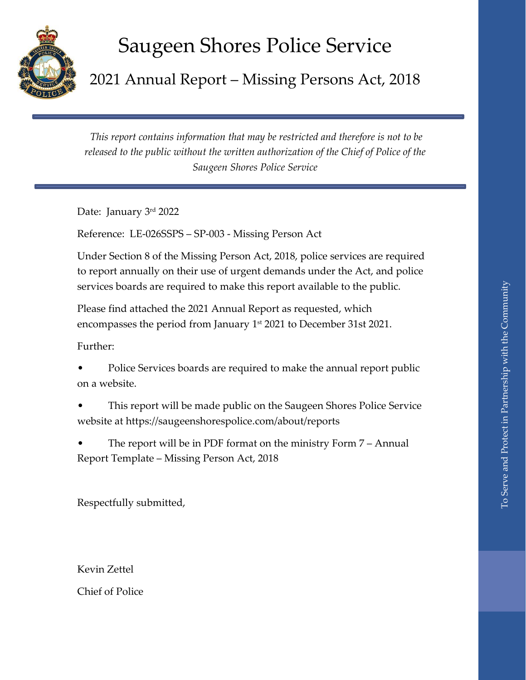## Saugeen Shores Police Service

2021 Annual Report – Missing Persons Act, 2018

*This report contains information that may be restricted and therefore is not to be released to the public without the written authorization of the Chief of Police of the Saugeen Shores Police Service* 

Date: January 3rd 2022

Reference: LE-026SSPS – SP-003 - Missing Person Act

Under Section 8 of the Missing Person Act, 2018, police services are required to report annually on their use of urgent demands under the Act, and police services boards are required to make this report available to the public.

Please find attached the 2021 Annual Report as requested, which encompasses the period from January 1st 2021 to December 31st 2021.

Further:

• Police Services boards are required to make the annual report public on a website.

- This report will be made public on the Saugeen Shores Police Service website at https://saugeenshorespolice.com/about/reports
- The report will be in PDF format on the ministry Form 7 Annual Report Template – Missing Person Act, 2018

Respectfully submitted,

Kevin Zettel

Chief of Police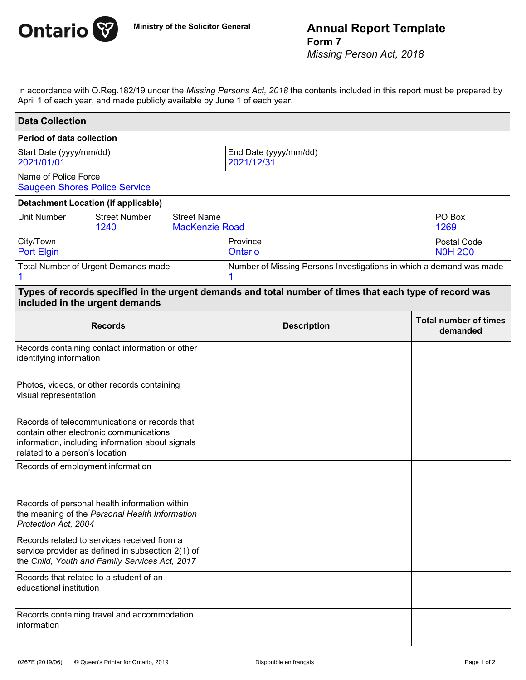

## **Ministry of the Solicitor General Annual Report Template Form 7**

*Missing Person Act, 2018*

In accordance with O.Reg.182/19 under the *Missing Persons Act, 2018* the contents included in this report must be prepared by April 1 of each year, and made publicly available by June 1 of each year.

| <b>Data Collection</b>                                                                                                                                                         |                              |                                             |                                                                                                         |  |                                          |
|--------------------------------------------------------------------------------------------------------------------------------------------------------------------------------|------------------------------|---------------------------------------------|---------------------------------------------------------------------------------------------------------|--|------------------------------------------|
| <b>Period of data collection</b>                                                                                                                                               |                              |                                             |                                                                                                         |  |                                          |
| Start Date (yyyy/mm/dd)<br>2021/01/01                                                                                                                                          |                              |                                             | End Date (yyyy/mm/dd)<br>2021/12/31                                                                     |  |                                          |
| Name of Police Force<br><b>Saugeen Shores Police Service</b>                                                                                                                   |                              |                                             |                                                                                                         |  |                                          |
| <b>Detachment Location (if applicable)</b>                                                                                                                                     |                              |                                             |                                                                                                         |  |                                          |
| <b>Unit Number</b>                                                                                                                                                             | <b>Street Number</b><br>1240 | <b>Street Name</b><br><b>MacKenzie Road</b> |                                                                                                         |  | PO Box<br>1269                           |
| City/Town<br><b>Port Elgin</b>                                                                                                                                                 |                              |                                             | Province<br><b>Ontario</b>                                                                              |  | Postal Code<br><b>N0H 2C0</b>            |
| Total Number of Urgent Demands made                                                                                                                                            |                              |                                             | Number of Missing Persons Investigations in which a demand was made                                     |  |                                          |
| included in the urgent demands                                                                                                                                                 |                              |                                             | Types of records specified in the urgent demands and total number of times that each type of record was |  |                                          |
| <b>Records</b>                                                                                                                                                                 |                              |                                             | <b>Description</b>                                                                                      |  | <b>Total number of times</b><br>demanded |
| Records containing contact information or other<br>identifying information                                                                                                     |                              |                                             |                                                                                                         |  |                                          |
| Photos, videos, or other records containing<br>visual representation                                                                                                           |                              |                                             |                                                                                                         |  |                                          |
| Records of telecommunications or records that<br>contain other electronic communications<br>information, including information about signals<br>related to a person's location |                              |                                             |                                                                                                         |  |                                          |
| Records of employment information                                                                                                                                              |                              |                                             |                                                                                                         |  |                                          |
| Records of personal health information within<br>the meaning of the Personal Health Information<br>Protection Act, 2004                                                        |                              |                                             |                                                                                                         |  |                                          |
| Records related to services received from a<br>service provider as defined in subsection 2(1) of<br>the Child, Youth and Family Services Act, 2017                             |                              |                                             |                                                                                                         |  |                                          |
| Records that related to a student of an<br>educational institution                                                                                                             |                              |                                             |                                                                                                         |  |                                          |
| Records containing travel and accommodation<br>information                                                                                                                     |                              |                                             |                                                                                                         |  |                                          |